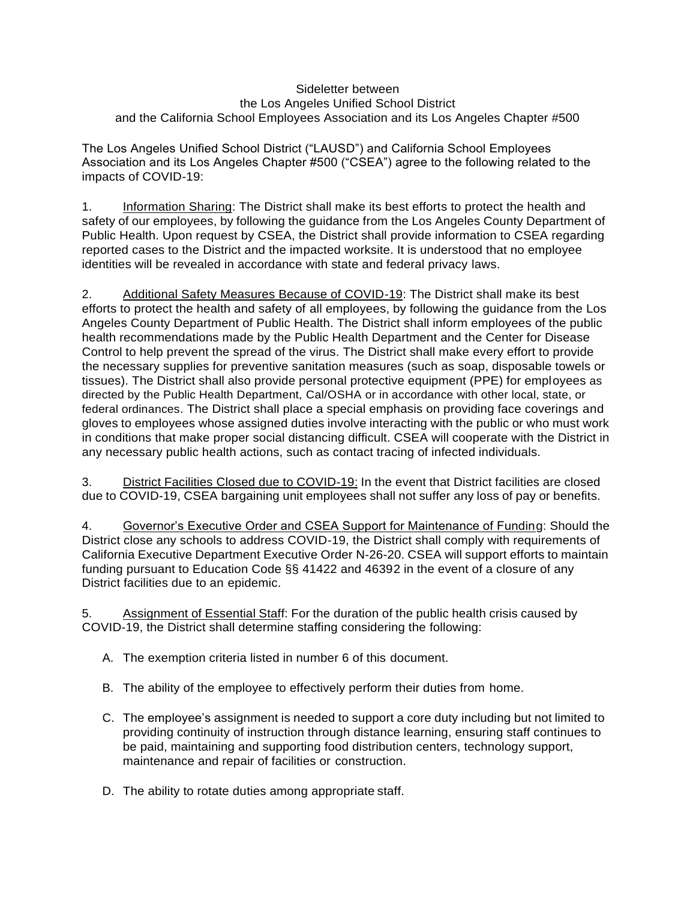## Sideletter between the Los Angeles Unified School District and the California School Employees Association and its Los Angeles Chapter #500

The Los Angeles Unified School District ("LAUSD") and California School Employees Association and its Los Angeles Chapter #500 ("CSEA") agree to the following related to the impacts of COVID-19:

1. Information Sharing: The District shall make its best efforts to protect the health and safety of our employees, by following the guidance from the Los Angeles County Department of Public Health. Upon request by CSEA, the District shall provide information to CSEA regarding reported cases to the District and the impacted worksite. It is understood that no employee identities will be revealed in accordance with state and federal privacy laws.

2. Additional Safety Measures Because of COVID-19: The District shall make its best efforts to protect the health and safety of all employees, by following the guidance from the Los Angeles County Department of Public Health. The District shall inform employees of the public health recommendations made by the Public Health Department and the Center for Disease Control to help prevent the spread of the virus. The District shall make every effort to provide the necessary supplies for preventive sanitation measures (such as soap, disposable towels or tissues). The District shall also provide personal protective equipment (PPE) for employees as directed by the Public Health Department, Cal/OSHA or in accordance with other local, state, or federal ordinances. The District shall place a special emphasis on providing face coverings and gloves to employees whose assigned duties involve interacting with the public or who must work in conditions that make proper social distancing difficult. CSEA will cooperate with the District in any necessary public health actions, such as contact tracing of infected individuals.

3. District Facilities Closed due to COVID-19: In the event that District facilities are closed due to COVID-19, CSEA bargaining unit employees shall not suffer any loss of pay or benefits.

4. Governor's Executive Order and CSEA Support for Maintenance of Funding: Should the District close any schools to address COVID-19, the District shall comply with requirements of California Executive Department Executive Order N-26-20. CSEA will support efforts to maintain funding pursuant to Education Code §§ 41422 and 46392 in the event of a closure of any District facilities due to an epidemic.

5. Assignment of Essential Staff: For the duration of the public health crisis caused by COVID-19, the District shall determine staffing considering the following:

- A. The exemption criteria listed in number 6 of this document.
- B. The ability of the employee to effectively perform their duties from home.
- C. The employee's assignment is needed to support a core duty including but not limited to providing continuity of instruction through distance learning, ensuring staff continues to be paid, maintaining and supporting food distribution centers, technology support, maintenance and repair of facilities or construction.
- D. The ability to rotate duties among appropriate staff.